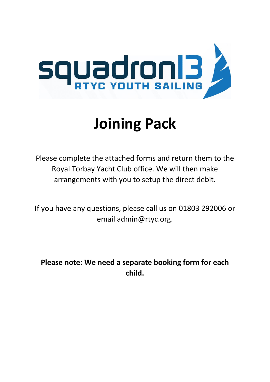

# **Joining Pack**

Please complete the attached forms and return them to the Royal Torbay Yacht Club office. We will then make arrangements with you to setup the direct debit.

If you have any questions, please call us on 01803 292006 or email admin@rtyc.org.

**Please note: We need a separate booking form for each child.**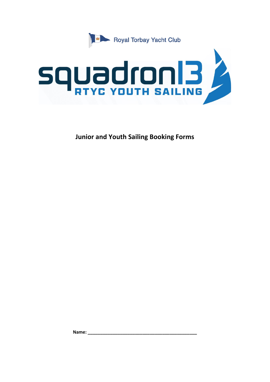



**Junior and Youth Sailing Booking Forms**

**Name: \_\_\_\_\_\_\_\_\_\_\_\_\_\_\_\_\_\_\_\_\_\_\_\_\_\_\_\_\_\_\_\_\_\_\_\_\_\_\_\_\_\_\_\_**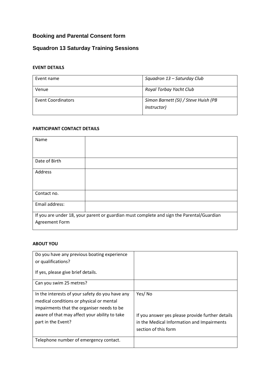# **Booking and Parental Consent form**

## **Squadron 13 Saturday Training Sessions**

## **EVENT DETAILS**

| Event name         | Squadron 13 - Saturday Club                         |
|--------------------|-----------------------------------------------------|
| Venue              | Royal Torbay Yacht Club                             |
| Event Coordinators | Simon Barnett (SI) / Steve Huish (PB<br>(Instructor |

## **PARTICIPANT CONTACT DETAILS**

| Name                                                                                      |  |
|-------------------------------------------------------------------------------------------|--|
|                                                                                           |  |
| Date of Birth                                                                             |  |
| Address                                                                                   |  |
|                                                                                           |  |
| Contact no.                                                                               |  |
| Email address:                                                                            |  |
| If you are under 18, your parent or guardian must complete and sign the Parental/Guardian |  |
| Agreement Form                                                                            |  |
|                                                                                           |  |

#### **ABOUT YOU**

| Do you have any previous boating experience                                                                                                                                                                      |                                                                                                                                  |
|------------------------------------------------------------------------------------------------------------------------------------------------------------------------------------------------------------------|----------------------------------------------------------------------------------------------------------------------------------|
| or qualifications?                                                                                                                                                                                               |                                                                                                                                  |
| If yes, please give brief details.                                                                                                                                                                               |                                                                                                                                  |
| Can you swim 25 metres?                                                                                                                                                                                          |                                                                                                                                  |
| In the interests of your safety do you have any<br>medical conditions or physical or mental<br>impairments that the organiser needs to be<br>aware of that may affect your ability to take<br>part in the Event? | Yes/No<br>If you answer yes please provide further details<br>in the Medical Information and Impairments<br>section of this form |
| Telephone number of emergency contact.                                                                                                                                                                           |                                                                                                                                  |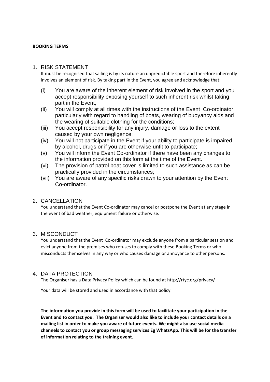#### **BOOKING TERMS**

## 1. RISK STATEMENT

It must be recognised that sailing is by its nature an unpredictable sport and therefore inherently involves an element of risk. By taking part in the Event, you agree and acknowledge that:

- (i) You are aware of the inherent element of risk involved in the sport and you accept responsibility exposing yourself to such inherent risk whilst taking part in the Event;
- (ii) You will comply at all times with the instructions of the Event Co-ordinator particularly with regard to handling of boats, wearing of buoyancy aids and the wearing of suitable clothing for the conditions;
- (iii) You accept responsibility for any injury, damage or loss to the extent caused by your own negligence;
- (iv) You will not participate in the Event if your ability to participate is impaired by alcohol, drugs or if you are otherwise unfit to participate;
- (v) You will inform the Event Co-ordinator if there have been any changes to the information provided on this form at the time of the Event.
- (vi) The provision of patrol boat cover is limited to such assistance as can be practically provided in the circumstances;
- (vii) You are aware of any specific risks drawn to your attention by the Event Co-ordinator.

## 2. CANCELLATION

You understand that the Event Co-ordinator may cancel or postpone the Event at any stage in the event of bad weather, equipment failure or otherwise.

## 3. MISCONDUCT

You understand that the Event Co-ordinator may exclude anyone from a particular session and evict anyone from the premises who refuses to comply with these Booking Terms or who misconducts themselves in any way or who causes damage or annoyance to other persons.

## 4. DATA PROTECTION

The Organiser has a Data Privacy Policy which can be found at http://rtyc.org/privacy/

Your data will be stored and used in accordance with that policy.

**The information you provide in this form will be used to facilitate your participation in the Event and to contact you. The Organiser would also like to include your contact details on a mailing list in order to make you aware of future events. We might also use social media channels to contact you or group messaging services Eg WhatsApp. This will be for the transfer of information relating to the training event.**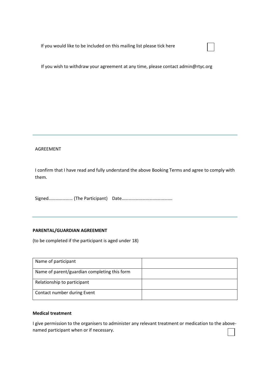If you would like to be included on this mailing list please tick here

If you wish to withdraw your agreement at any time, please contact admin@rtyc.org

#### AGREEMENT

I confirm that I have read and fully understand the above Booking Terms and agree to comply with them.

Signed………………… (The Participant) Date……………………….…………….

#### **PARENTAL/GUARDIAN AGREEMENT**

(to be completed if the participant is aged under 18)

| Name of participant                          |  |
|----------------------------------------------|--|
| Name of parent/guardian completing this form |  |
| Relationship to participant                  |  |
| Contact number during Event                  |  |

#### **Medical treatment**

I give permission to the organisers to administer any relevant treatment or medication to the abovenamed participant when or if necessary.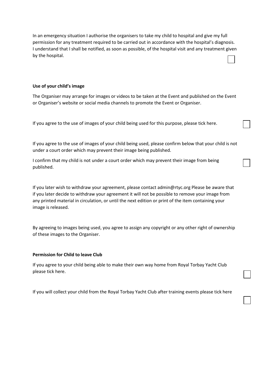In an emergency situation I authorise the organisers to take my child to hospital and give my full permission for any treatment required to be carried out in accordance with the hospital's diagnosis. I understand that I shall be notified, as soon as possible, of the hospital visit and any treatment given by the hospital.

#### **Use of your child's image**

The Organiser may arrange for images or videos to be taken at the Event and published on the Event or Organiser's website or social media channels to promote the Event or Organiser.

If you agree to the use of images of your child being used for this purpose, please tick here.

If you agree to the use of images of your child being used, please confirm below that your child is not under a court order which may prevent their image being published.

I confirm that my child is not under a court order which may prevent their image from being published.

If you later wish to withdraw your agreement, please contact admin@rtyc.org Please be aware that if you later decide to withdraw your agreement it will not be possible to remove your image from any printed material in circulation, or until the next edition or print of the item containing your image is released.

By agreeing to images being used, you agree to assign any copyright or any other right of ownership of these images to the Organiser.

#### **Permission for Child to leave Club**

If you agree to your child being able to make their own way home from Royal Torbay Yacht Club please tick here.

If you will collect your child from the Royal Torbay Yacht Club after training events please tick here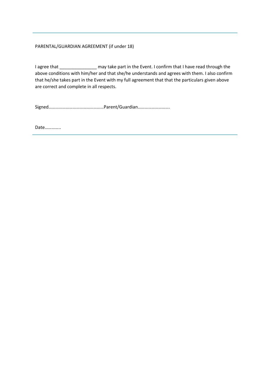#### PARENTAL/GUARDIAN AGREEMENT (if under 18)

I agree that \_\_\_\_\_\_\_\_\_\_\_\_\_\_\_\_\_ may take part in the Event. I confirm that I have read through the above conditions with him/her and that she/he understands and agrees with them. I also confirm that he/she takes part in the Event with my full agreement that that the particulars given above are correct and complete in all respects.

Signed…………………………………………Parent/Guardian……………………….

Date…………..